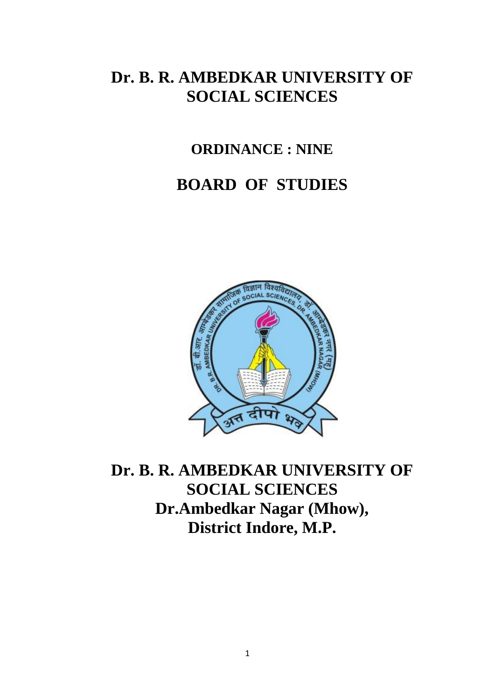## **Dr. B. R. AMBEDKAR UNIVERSITY OF SOCIAL SCIENCES**

## **ORDINANCE : NINE**

## **BOARD OF STUDIES**



**Dr. B. R. AMBEDKAR UNIVERSITY OF SOCIAL SCIENCES Dr.Ambedkar Nagar (Mhow), District Indore, M.P.**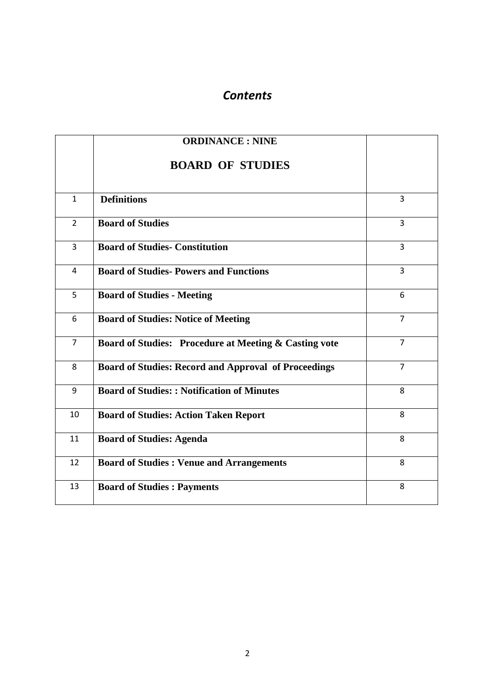## *Contents*

|                | <b>ORDINANCE: NINE</b>                                      |                |
|----------------|-------------------------------------------------------------|----------------|
|                | <b>BOARD OF STUDIES</b>                                     |                |
| $\mathbf{1}$   | <b>Definitions</b>                                          | 3              |
| $\overline{2}$ | <b>Board of Studies</b>                                     | 3              |
| $\overline{3}$ | <b>Board of Studies- Constitution</b>                       | $\overline{3}$ |
| $\overline{4}$ | <b>Board of Studies- Powers and Functions</b>               | $\overline{3}$ |
| 5              | <b>Board of Studies - Meeting</b>                           | 6              |
| 6              | <b>Board of Studies: Notice of Meeting</b>                  | $\overline{7}$ |
| $\overline{7}$ | Board of Studies: Procedure at Meeting & Casting vote       | $\overline{7}$ |
| 8              | <b>Board of Studies: Record and Approval of Proceedings</b> | $\overline{7}$ |
| 9              | <b>Board of Studies:: Notification of Minutes</b>           | 8              |
| 10             | <b>Board of Studies: Action Taken Report</b>                | 8              |
| 11             | <b>Board of Studies: Agenda</b>                             | 8              |
| 12             | <b>Board of Studies : Venue and Arrangements</b>            | 8              |
| 13             | <b>Board of Studies : Payments</b>                          | 8              |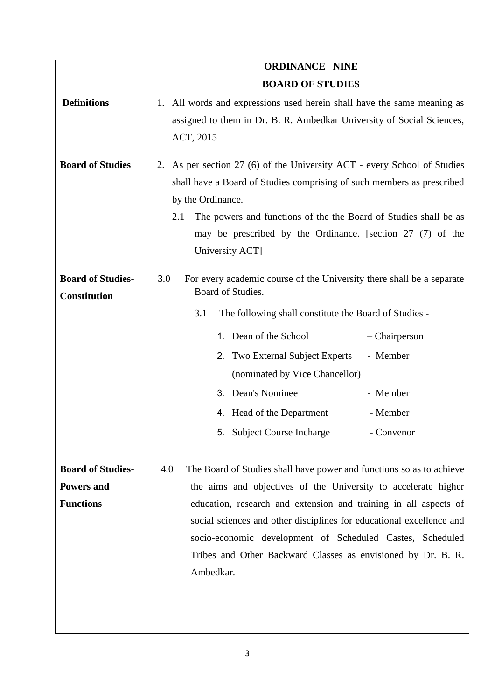|                          | <b>ORDINANCE NINE</b>                                                                        |  |  |  |
|--------------------------|----------------------------------------------------------------------------------------------|--|--|--|
|                          | <b>BOARD OF STUDIES</b>                                                                      |  |  |  |
| <b>Definitions</b>       | 1. All words and expressions used herein shall have the same meaning as                      |  |  |  |
|                          | assigned to them in Dr. B. R. Ambedkar University of Social Sciences,                        |  |  |  |
|                          | ACT, 2015                                                                                    |  |  |  |
|                          |                                                                                              |  |  |  |
| <b>Board of Studies</b>  | As per section 27 (6) of the University ACT - every School of Studies<br>2.                  |  |  |  |
|                          | shall have a Board of Studies comprising of such members as prescribed                       |  |  |  |
|                          | by the Ordinance.<br>The powers and functions of the the Board of Studies shall be as<br>2.1 |  |  |  |
|                          |                                                                                              |  |  |  |
|                          | may be prescribed by the Ordinance. [section 27 (7) of the<br>University ACT]                |  |  |  |
|                          |                                                                                              |  |  |  |
| <b>Board of Studies-</b> | For every academic course of the University there shall be a separate<br>3.0                 |  |  |  |
| <b>Constitution</b>      | Board of Studies.                                                                            |  |  |  |
|                          | 3.1<br>The following shall constitute the Board of Studies -                                 |  |  |  |
|                          | 1. Dean of the School<br>- Chairperson                                                       |  |  |  |
|                          | 2. Two External Subject Experts<br>- Member                                                  |  |  |  |
|                          | (nominated by Vice Chancellor)                                                               |  |  |  |
|                          | 3. Dean's Nominee<br>- Member                                                                |  |  |  |
|                          | 4. Head of the Department<br>- Member                                                        |  |  |  |
|                          | 5. Subject Course Incharge<br>- Convenor                                                     |  |  |  |
|                          |                                                                                              |  |  |  |
| <b>Board of Studies-</b> | The Board of Studies shall have power and functions so as to achieve<br>4.0                  |  |  |  |
| <b>Powers and</b>        | the aims and objectives of the University to accelerate higher                               |  |  |  |
| <b>Functions</b>         | education, research and extension and training in all aspects of                             |  |  |  |
|                          | social sciences and other disciplines for educational excellence and                         |  |  |  |
|                          | socio-economic development of Scheduled Castes, Scheduled                                    |  |  |  |
|                          | Tribes and Other Backward Classes as envisioned by Dr. B. R.                                 |  |  |  |
|                          | Ambedkar.                                                                                    |  |  |  |
|                          |                                                                                              |  |  |  |
|                          |                                                                                              |  |  |  |
|                          |                                                                                              |  |  |  |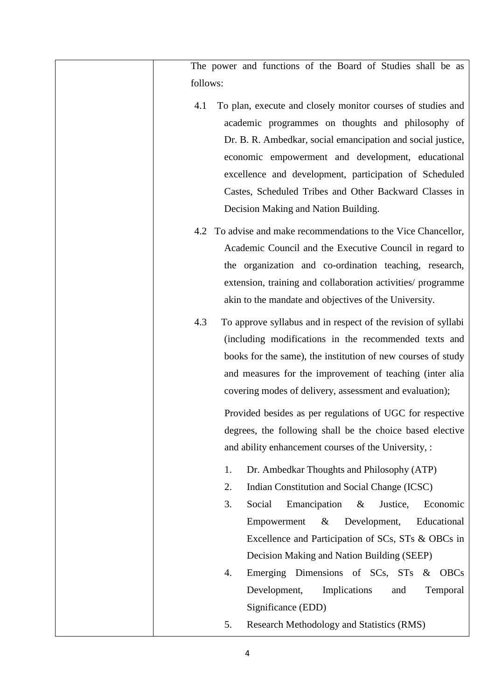| The power and functions of the Board of Studies shall be as                                                                                                                                                                                                                                                                                                                                                                                                                                            |
|--------------------------------------------------------------------------------------------------------------------------------------------------------------------------------------------------------------------------------------------------------------------------------------------------------------------------------------------------------------------------------------------------------------------------------------------------------------------------------------------------------|
| follows:                                                                                                                                                                                                                                                                                                                                                                                                                                                                                               |
| To plan, execute and closely monitor courses of studies and<br>4.1<br>academic programmes on thoughts and philosophy of<br>Dr. B. R. Ambedkar, social emancipation and social justice,<br>economic empowerment and development, educational<br>excellence and development, participation of Scheduled<br>Castes, Scheduled Tribes and Other Backward Classes in<br>Decision Making and Nation Building.                                                                                                |
| To advise and make recommendations to the Vice Chancellor,<br>4.2<br>Academic Council and the Executive Council in regard to<br>the organization and co-ordination teaching, research,<br>extension, training and collaboration activities/ programme<br>akin to the mandate and objectives of the University.                                                                                                                                                                                         |
| To approve syllabus and in respect of the revision of syllabi<br>4.3<br>(including modifications in the recommended texts and<br>books for the same), the institution of new courses of study<br>and measures for the improvement of teaching (inter alia<br>covering modes of delivery, assessment and evaluation);<br>Provided besides as per regulations of UGC for respective<br>degrees, the following shall be the choice based elective<br>and ability enhancement courses of the University, : |
| Dr. Ambedkar Thoughts and Philosophy (ATP)<br>1.<br>Indian Constitution and Social Change (ICSC)<br>2.<br>3.<br>Emancipation<br>Economic<br>Social<br>$\&$<br>Justice,<br>Empowerment<br>$\&$<br>Development,<br>Educational<br>Excellence and Participation of SCs, STs & OBCs in<br>Decision Making and Nation Building (SEEP)                                                                                                                                                                       |
| Emerging Dimensions of SCs, STs<br><b>OBCs</b><br>4.<br>$\&$<br>Development,<br>Implications<br>and<br>Temporal<br>Significance (EDD)<br>Research Methodology and Statistics (RMS)<br>5.                                                                                                                                                                                                                                                                                                               |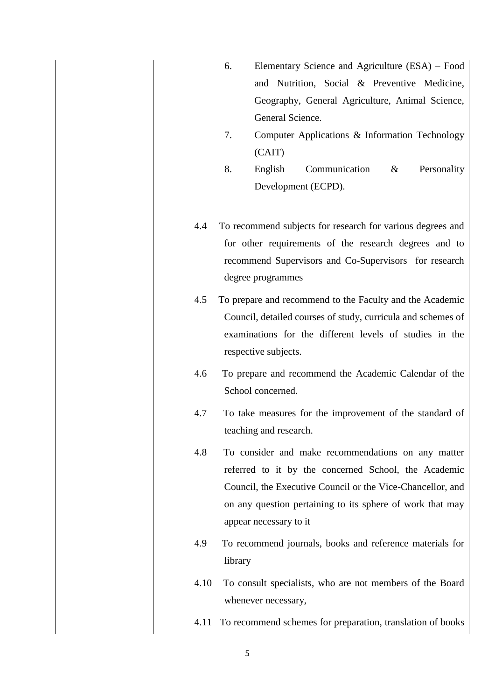|      | Elementary Science and Agriculture (ESA) - Food<br>6.                                                                                                                                                                                                           |
|------|-----------------------------------------------------------------------------------------------------------------------------------------------------------------------------------------------------------------------------------------------------------------|
|      | and Nutrition, Social & Preventive Medicine,                                                                                                                                                                                                                    |
|      | Geography, General Agriculture, Animal Science,                                                                                                                                                                                                                 |
|      | General Science.                                                                                                                                                                                                                                                |
|      | 7.<br>Computer Applications & Information Technology                                                                                                                                                                                                            |
|      | (CAIT)                                                                                                                                                                                                                                                          |
|      | 8.<br>Communication<br>English<br>$\&$<br>Personality                                                                                                                                                                                                           |
|      | Development (ECPD).                                                                                                                                                                                                                                             |
|      |                                                                                                                                                                                                                                                                 |
| 4.4  | To recommend subjects for research for various degrees and<br>for other requirements of the research degrees and to<br>recommend Supervisors and Co-Supervisors for research<br>degree programmes                                                               |
| 4.5  | To prepare and recommend to the Faculty and the Academic<br>Council, detailed courses of study, curricula and schemes of<br>examinations for the different levels of studies in the<br>respective subjects.                                                     |
| 4.6  | To prepare and recommend the Academic Calendar of the<br>School concerned.                                                                                                                                                                                      |
| 4.7  | To take measures for the improvement of the standard of<br>teaching and research.                                                                                                                                                                               |
| 4.8  | To consider and make recommendations on any matter<br>referred to it by the concerned School, the Academic<br>Council, the Executive Council or the Vice-Chancellor, and<br>on any question pertaining to its sphere of work that may<br>appear necessary to it |
| 4.9  | To recommend journals, books and reference materials for<br>library                                                                                                                                                                                             |
| 4.10 | To consult specialists, who are not members of the Board<br>whenever necessary,                                                                                                                                                                                 |
| 4.11 | To recommend schemes for preparation, translation of books                                                                                                                                                                                                      |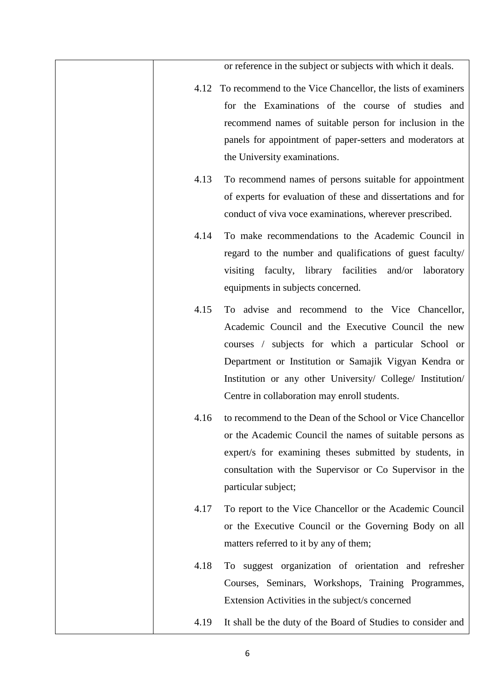|      | or reference in the subject or subjects with which it deals.                                                                                                                                                                                                                                                                        |
|------|-------------------------------------------------------------------------------------------------------------------------------------------------------------------------------------------------------------------------------------------------------------------------------------------------------------------------------------|
|      | 4.12 To recommend to the Vice Chancellor, the lists of examiners<br>for the Examinations of the course of studies and<br>recommend names of suitable person for inclusion in the<br>panels for appointment of paper-setters and moderators at<br>the University examinations.                                                       |
| 4.13 | To recommend names of persons suitable for appointment<br>of experts for evaluation of these and dissertations and for<br>conduct of viva voce examinations, wherever prescribed.                                                                                                                                                   |
| 4.14 | To make recommendations to the Academic Council in<br>regard to the number and qualifications of guest faculty/<br>visiting faculty, library facilities<br>and/or laboratory<br>equipments in subjects concerned.                                                                                                                   |
| 4.15 | To advise and recommend to the Vice Chancellor,<br>Academic Council and the Executive Council the new<br>courses / subjects for which a particular School or<br>Department or Institution or Samajik Vigyan Kendra or<br>Institution or any other University/ College/ Institution/<br>Centre in collaboration may enroll students. |
| 4.16 | to recommend to the Dean of the School or Vice Chancellor<br>or the Academic Council the names of suitable persons as<br>expert/s for examining theses submitted by students, in<br>consultation with the Supervisor or Co Supervisor in the<br>particular subject;                                                                 |
| 4.17 | To report to the Vice Chancellor or the Academic Council<br>or the Executive Council or the Governing Body on all<br>matters referred to it by any of them;                                                                                                                                                                         |
| 4.18 | To suggest organization of orientation and refresher<br>Courses, Seminars, Workshops, Training Programmes,<br>Extension Activities in the subject/s concerned                                                                                                                                                                       |
| 4.19 | It shall be the duty of the Board of Studies to consider and                                                                                                                                                                                                                                                                        |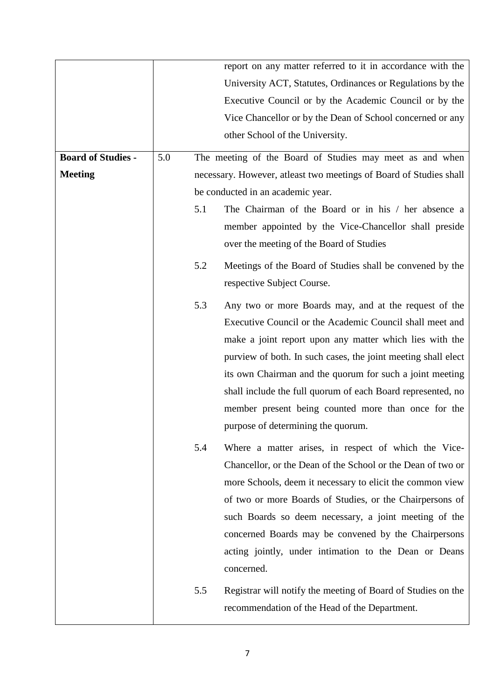|                           |     |                                                                    | report on any matter referred to it in accordance with the<br>University ACT, Statutes, Ordinances or Regulations by the<br>Executive Council or by the Academic Council or by the<br>Vice Chancellor or by the Dean of School concerned or any                                                                                                                                                                                                                       |
|---------------------------|-----|--------------------------------------------------------------------|-----------------------------------------------------------------------------------------------------------------------------------------------------------------------------------------------------------------------------------------------------------------------------------------------------------------------------------------------------------------------------------------------------------------------------------------------------------------------|
|                           |     |                                                                    | other School of the University.                                                                                                                                                                                                                                                                                                                                                                                                                                       |
| <b>Board of Studies -</b> | 5.0 |                                                                    | The meeting of the Board of Studies may meet as and when                                                                                                                                                                                                                                                                                                                                                                                                              |
| <b>Meeting</b>            |     | necessary. However, atleast two meetings of Board of Studies shall |                                                                                                                                                                                                                                                                                                                                                                                                                                                                       |
|                           |     | be conducted in an academic year.                                  |                                                                                                                                                                                                                                                                                                                                                                                                                                                                       |
|                           |     | 5.1                                                                | The Chairman of the Board or in his / her absence a                                                                                                                                                                                                                                                                                                                                                                                                                   |
|                           |     |                                                                    | member appointed by the Vice-Chancellor shall preside                                                                                                                                                                                                                                                                                                                                                                                                                 |
|                           |     |                                                                    | over the meeting of the Board of Studies                                                                                                                                                                                                                                                                                                                                                                                                                              |
|                           |     | 5.2                                                                | Meetings of the Board of Studies shall be convened by the<br>respective Subject Course.                                                                                                                                                                                                                                                                                                                                                                               |
|                           |     | 5.3                                                                | Any two or more Boards may, and at the request of the<br>Executive Council or the Academic Council shall meet and<br>make a joint report upon any matter which lies with the<br>purview of both. In such cases, the joint meeting shall elect<br>its own Chairman and the quorum for such a joint meeting<br>shall include the full quorum of each Board represented, no<br>member present being counted more than once for the<br>purpose of determining the quorum. |
|                           |     | 5.4                                                                | Where a matter arises, in respect of which the Vice-<br>Chancellor, or the Dean of the School or the Dean of two or<br>more Schools, deem it necessary to elicit the common view<br>of two or more Boards of Studies, or the Chairpersons of<br>such Boards so deem necessary, a joint meeting of the<br>concerned Boards may be convened by the Chairpersons<br>acting jointly, under intimation to the Dean or Deans<br>concerned.                                  |
|                           |     | 5.5                                                                | Registrar will notify the meeting of Board of Studies on the<br>recommendation of the Head of the Department.                                                                                                                                                                                                                                                                                                                                                         |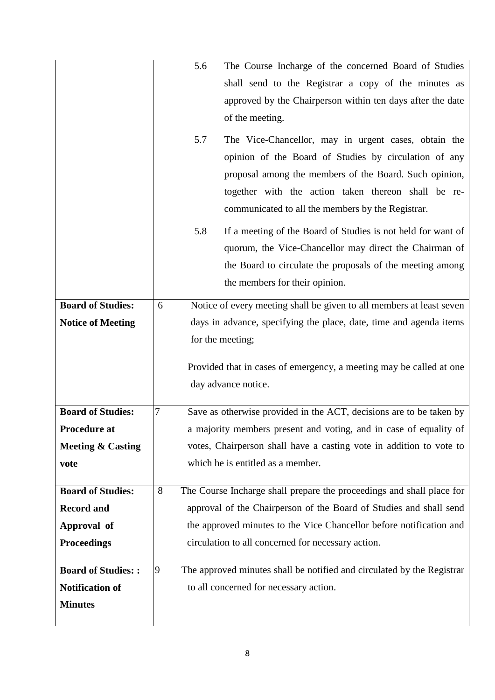|                              |                                                                    | 5.6 | The Course Incharge of the concerned Board of Studies                  |
|------------------------------|--------------------------------------------------------------------|-----|------------------------------------------------------------------------|
|                              |                                                                    |     | shall send to the Registrar a copy of the minutes as                   |
|                              |                                                                    |     | approved by the Chairperson within ten days after the date             |
|                              |                                                                    |     | of the meeting.                                                        |
|                              |                                                                    |     |                                                                        |
|                              |                                                                    | 5.7 | The Vice-Chancellor, may in urgent cases, obtain the                   |
|                              |                                                                    |     | opinion of the Board of Studies by circulation of any                  |
|                              |                                                                    |     | proposal among the members of the Board. Such opinion,                 |
|                              |                                                                    |     | together with the action taken thereon shall be re-                    |
|                              |                                                                    |     | communicated to all the members by the Registrar.                      |
|                              |                                                                    | 5.8 | If a meeting of the Board of Studies is not held for want of           |
|                              |                                                                    |     | quorum, the Vice-Chancellor may direct the Chairman of                 |
|                              |                                                                    |     | the Board to circulate the proposals of the meeting among              |
|                              |                                                                    |     | the members for their opinion.                                         |
| <b>Board of Studies:</b>     | 6                                                                  |     | Notice of every meeting shall be given to all members at least seven   |
| <b>Notice of Meeting</b>     | days in advance, specifying the place, date, time and agenda items |     |                                                                        |
|                              |                                                                    |     | for the meeting;                                                       |
|                              |                                                                    |     |                                                                        |
|                              |                                                                    |     | Provided that in cases of emergency, a meeting may be called at one    |
|                              |                                                                    |     | day advance notice.                                                    |
| <b>Board of Studies:</b>     | 7                                                                  |     | Save as otherwise provided in the ACT, decisions are to be taken by    |
| <b>Procedure at</b>          |                                                                    |     | a majority members present and voting, and in case of equality of      |
| <b>Meeting &amp; Casting</b> |                                                                    |     | votes, Chairperson shall have a casting vote in addition to vote to    |
| vote                         |                                                                    |     | which he is entitled as a member.                                      |
|                              |                                                                    |     |                                                                        |
| <b>Board of Studies:</b>     | 8                                                                  |     | The Course Incharge shall prepare the proceedings and shall place for  |
| <b>Record and</b>            |                                                                    |     | approval of the Chairperson of the Board of Studies and shall send     |
| Approval of                  |                                                                    |     | the approved minutes to the Vice Chancellor before notification and    |
| <b>Proceedings</b>           |                                                                    |     | circulation to all concerned for necessary action.                     |
|                              |                                                                    |     |                                                                        |
| <b>Board of Studies::</b>    | $\overline{9}$                                                     |     | The approved minutes shall be notified and circulated by the Registrar |
| <b>Notification of</b>       |                                                                    |     | to all concerned for necessary action.                                 |
| <b>Minutes</b>               |                                                                    |     |                                                                        |
|                              |                                                                    |     |                                                                        |